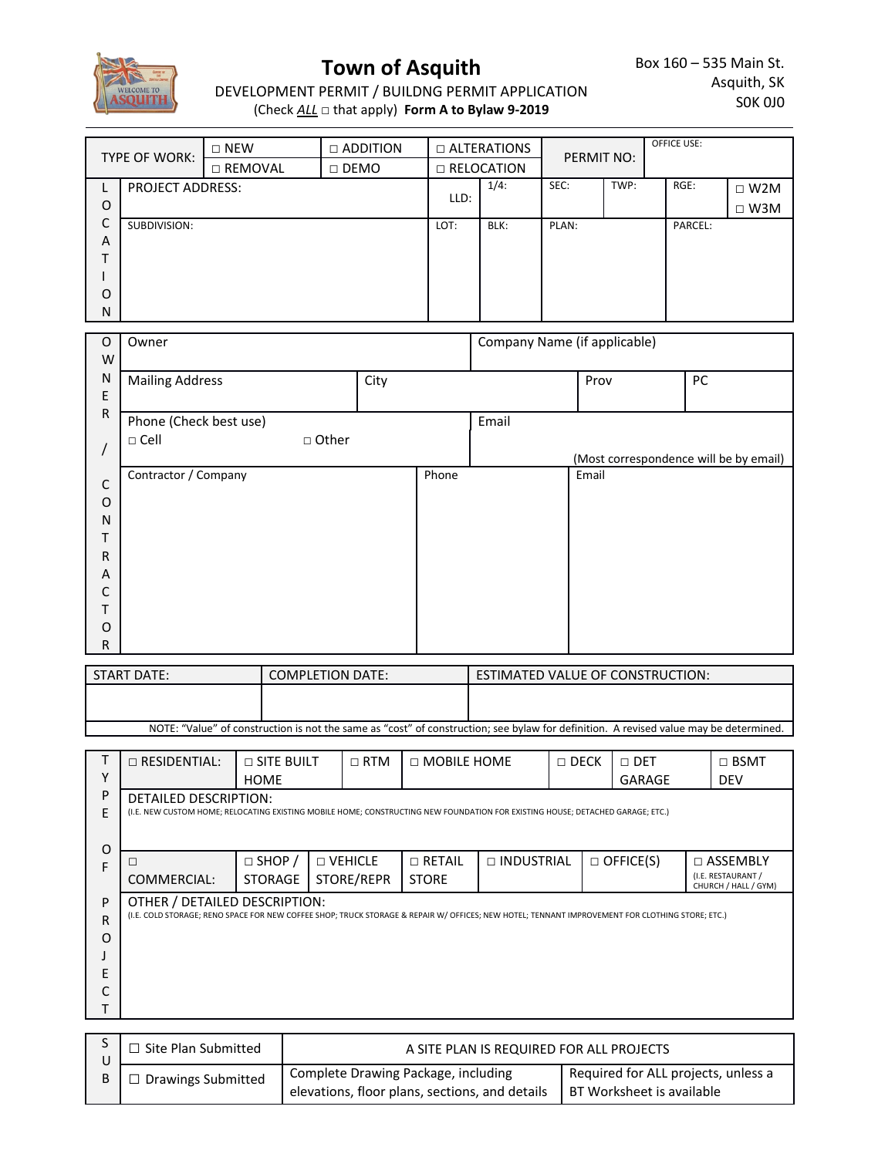

## **Town of Asquith**

DEVELOPMENT PERMIT / BUILDNG PERMIT APPLICATION (Check *ALL* □ that apply) **Form A to Bylaw 9-2019**

| <b>TYPE OF WORK:</b>    |              | $\Box$ NEW | $\Box$ ADDITION | $\Box$ ALTERATIONS<br>$\Box$ RELOCATION |      | PERMIT NO: |      | <b>OFFICE USE:</b> |            |
|-------------------------|--------------|------------|-----------------|-----------------------------------------|------|------------|------|--------------------|------------|
|                         |              | □ REMOVAL  | $\Box$ DEMO     |                                         |      |            |      |                    |            |
| <b>PROJECT ADDRESS:</b> |              |            |                 | $1/4$ :                                 | SEC: | TWP:       | RGE: | $\Box$ W2M         |            |
| O                       |              |            |                 | LLD:                                    |      |            |      |                    | $\Box$ W3M |
| C                       | SUBDIVISION: |            |                 | LOT:                                    | BLK: | PLAN:      |      | PARCEL:            |            |
| A                       |              |            |                 |                                         |      |            |      |                    |            |
|                         |              |            |                 |                                         |      |            |      |                    |            |
|                         |              |            |                 |                                         |      |            |      |                    |            |
| O                       |              |            |                 |                                         |      |            |      |                    |            |
| N                       |              |            |                 |                                         |      |            |      |                    |            |

| $\circ$      | Owner                  |                 |      |       | Company Name (if applicable) |                                        |    |
|--------------|------------------------|-----------------|------|-------|------------------------------|----------------------------------------|----|
| W            |                        |                 |      |       |                              |                                        |    |
| N            | <b>Mailing Address</b> |                 | City |       |                              | Prov                                   | PC |
| $\mathsf E$  |                        |                 |      |       |                              |                                        |    |
| $\mathsf R$  | Phone (Check best use) |                 |      |       | Email                        |                                        |    |
|              | $\Box$ Cell            | $\square$ Other |      |       |                              |                                        |    |
|              |                        |                 |      |       |                              | (Most correspondence will be by email) |    |
| $\mathsf{C}$ | Contractor / Company   |                 |      | Phone |                              | Email                                  |    |
| O            |                        |                 |      |       |                              |                                        |    |
| N            |                        |                 |      |       |                              |                                        |    |
|              |                        |                 |      |       |                              |                                        |    |
| R            |                        |                 |      |       |                              |                                        |    |
| A            |                        |                 |      |       |                              |                                        |    |
| C            |                        |                 |      |       |                              |                                        |    |
|              |                        |                 |      |       |                              |                                        |    |
| 0            |                        |                 |      |       |                              |                                        |    |
| R            |                        |                 |      |       |                              |                                        |    |

| START DATE:                                                                                                                           | <b>COMPLETION DATE:</b> | ESTIMATED VALUE OF CONSTRUCTION: |  |  |  |  |
|---------------------------------------------------------------------------------------------------------------------------------------|-------------------------|----------------------------------|--|--|--|--|
|                                                                                                                                       |                         |                                  |  |  |  |  |
|                                                                                                                                       |                         |                                  |  |  |  |  |
| NOTE: "Value" of construction is not the same as "cost" of construction; see bylaw for definition. A revised value may be determined. |                         |                                  |  |  |  |  |

|   | $\Box$ RESIDENTIAL:                                                                                                                             | $\Box$ SITE BUILT |           | $\Box$ RTM | $\Box$ MOBILE HOME |                   | $\Box$ DECK | $\Box$ DET       | $\Box$ BSMT                                |
|---|-------------------------------------------------------------------------------------------------------------------------------------------------|-------------------|-----------|------------|--------------------|-------------------|-------------|------------------|--------------------------------------------|
| Υ |                                                                                                                                                 | <b>HOME</b>       |           |            |                    |                   |             | <b>GARAGE</b>    | <b>DEV</b>                                 |
| P | <b>DETAILED DESCRIPTION:</b>                                                                                                                    |                   |           |            |                    |                   |             |                  |                                            |
| F | (I.E. NEW CUSTOM HOME; RELOCATING EXISTING MOBILE HOME; CONSTRUCTING NEW FOUNDATION FOR EXISTING HOUSE; DETACHED GARAGE; ETC.)                  |                   |           |            |                    |                   |             |                  |                                            |
|   |                                                                                                                                                 |                   |           |            |                    |                   |             |                  |                                            |
| 0 |                                                                                                                                                 |                   |           |            |                    |                   |             |                  |                                            |
| F | ш                                                                                                                                               | $\Box$ SHOP /     | □ VEHICLE |            | $\Box$ RETAIL      | $\Box$ INDUSTRIAL |             | $\Box$ OFFICE(S) | $\Box$ ASSEMBLY                            |
|   | COMMERCIAL:                                                                                                                                     | <b>STORAGE</b>    |           | STORE/REPR | <b>STORE</b>       |                   |             |                  | (I.E. RESTAURANT /<br>CHURCH / HALL / GYM) |
| P | OTHER / DETAILED DESCRIPTION:                                                                                                                   |                   |           |            |                    |                   |             |                  |                                            |
| R | (I.E. COLD STORAGE; RENO SPACE FOR NEW COFFEE SHOP; TRUCK STORAGE & REPAIR W/ OFFICES; NEW HOTEL; TENNANT IMPROVEMENT FOR CLOTHING STORE; ETC.) |                   |           |            |                    |                   |             |                  |                                            |
| O |                                                                                                                                                 |                   |           |            |                    |                   |             |                  |                                            |
|   |                                                                                                                                                 |                   |           |            |                    |                   |             |                  |                                            |
| F |                                                                                                                                                 |                   |           |            |                    |                   |             |                  |                                            |
|   |                                                                                                                                                 |                   |           |            |                    |                   |             |                  |                                            |
|   |                                                                                                                                                 |                   |           |            |                    |                   |             |                  |                                            |

| Site Plan Submitted | A SITE PLAN IS REQUIRED FOR ALL PROJECTS                                              |                                                                    |  |  |
|---------------------|---------------------------------------------------------------------------------------|--------------------------------------------------------------------|--|--|
| Drawings Submitted  | Complete Drawing Package, including<br>elevations, floor plans, sections, and details | Required for ALL projects, unless a<br>  BT Worksheet is available |  |  |